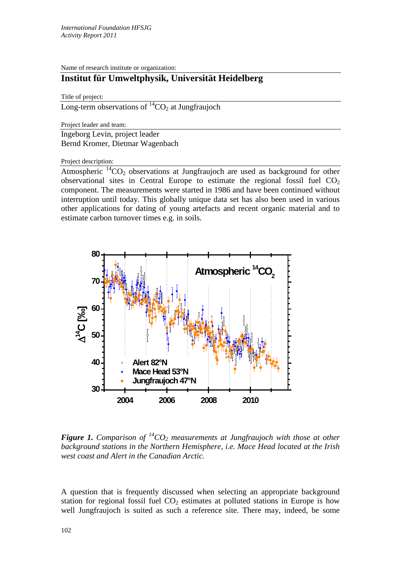Name of research institute or organization:

## **Institut für Umweltphysik, Universität Heidelberg**

Title of project:

Long-term observations of  ${}^{14}CO_2$  at Jungfraujoch

Project leader and team:

Ingeborg Levin, project leader Bernd Kromer, Dietmar Wagenbach

Project description:

Atmospheric  ${}^{14}CO_2$  observations at Jungfraujoch are used as background for other observational sites in Central Europe to estimate the regional fossil fuel  $CO<sub>2</sub>$ component. The measurements were started in 1986 and have been continued without interruption until today. This globally unique data set has also been used in various other applications for dating of young artefacts and recent organic material and to estimate carbon turnover times e.g. in soils.



*Figure 1. Comparison of*  $^{14}CO_2$  *measurements at Jungfraujoch with those at other background stations in the Northern Hemisphere, i.e. Mace Head located at the Irish west coast and Alert in the Canadian Arctic.*

A question that is frequently discussed when selecting an appropriate background station for regional fossil fuel  $CO<sub>2</sub>$  estimates at polluted stations in Europe is how well Jungfraujoch is suited as such a reference site. There may, indeed, be some